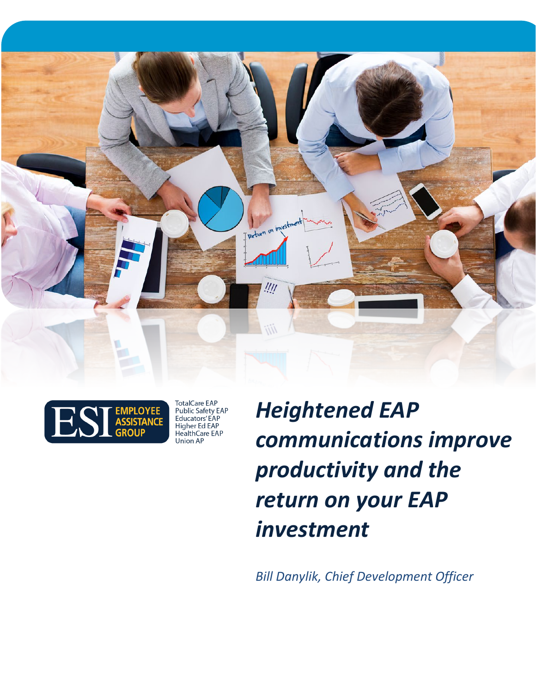



TotalCare EAP<br>Public Safety EAP Educators' EAP Higher Ed EAP<br>HealthCare EAP Union AP

*Heightened EAP communications improve productivity and the return on your EAP investment*

*Bill Danylik, Chief Development Officer*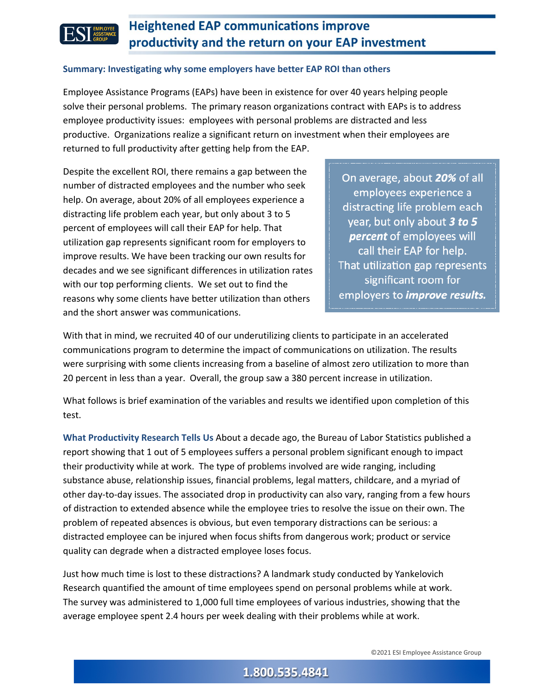

### **Summary: Investigating why some employers have better EAP ROI than others**

Employee Assistance Programs (EAPs) have been in existence for over 40 years helping people solve their personal problems. The primary reason organizations contract with EAPs is to address employee productivity issues: employees with personal problems are distracted and less productive. Organizations realize a significant return on investment when their employees are returned to full productivity after getting help from the EAP.

Despite the excellent ROI, there remains a gap between the number of distracted employees and the number who seek help. On average, about 20% of all employees experience a distracting life problem each year, but only about 3 to 5 percent of employees will call their EAP for help. That utilization gap represents significant room for employers to improve results. We have been tracking our own results for decades and we see significant differences in utilization rates with our top performing clients. We set out to find the reasons why some clients have better utilization than others and the short answer was communications.

On average, about 20% of all employees experience a distracting life problem each year, but only about 3 to 5 **percent** of employees will call their EAP for help. That utilization gap represents significant room for employers to *improve results*.

With that in mind, we recruited 40 of our underutilizing clients to participate in an accelerated communications program to determine the impact of communications on utilization. The results were surprising with some clients increasing from a baseline of almost zero utilization to more than 20 percent in less than a year. Overall, the group saw a 380 percent increase in utilization.

What follows is brief examination of the variables and results we identified upon completion of this test.

**What Productivity Research Tells Us** About a decade ago, the Bureau of Labor Statistics published a report showing that 1 out of 5 employees suffers a personal problem significant enough to impact their productivity while at work. The type of problems involved are wide ranging, including substance abuse, relationship issues, financial problems, legal matters, childcare, and a myriad of other day-to-day issues. The associated drop in productivity can also vary, ranging from a few hours of distraction to extended absence while the employee tries to resolve the issue on their own. The problem of repeated absences is obvious, but even temporary distractions can be serious: a distracted employee can be injured when focus shifts from dangerous work; product or service quality can degrade when a distracted employee loses focus.

Just how much time is lost to these distractions? A landmark study conducted by Yankelovich Research quantified the amount of time employees spend on personal problems while at work. The survey was administered to 1,000 full time employees of various industries, showing that the average employee spent 2.4 hours per week dealing with their problems while at work.

### 1.800.535.4841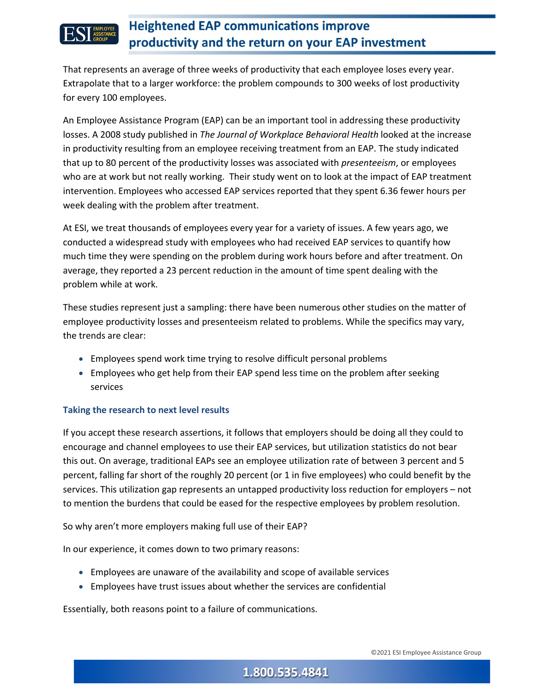

That represents an average of three weeks of productivity that each employee loses every year. Extrapolate that to a larger workforce: the problem compounds to 300 weeks of lost productivity for every 100 employees.

An Employee Assistance Program (EAP) can be an important tool in addressing these productivity losses. A 2008 study published in *The Journal of Workplace Behavioral Health* looked at the increase in productivity resulting from an employee receiving treatment from an EAP. The study indicated that up to 80 percent of the productivity losses was associated with *presenteeism*, or employees who are at work but not really working. Their study went on to look at the impact of EAP treatment intervention. Employees who accessed EAP services reported that they spent 6.36 fewer hours per week dealing with the problem after treatment.

At ESI, we treat thousands of employees every year for a variety of issues. A few years ago, we conducted a widespread study with employees who had received EAP services to quantify how much time they were spending on the problem during work hours before and after treatment. On average, they reported a 23 percent reduction in the amount of time spent dealing with the problem while at work.

These studies represent just a sampling: there have been numerous other studies on the matter of employee productivity losses and presenteeism related to problems. While the specifics may vary, the trends are clear:

- Employees spend work time trying to resolve difficult personal problems
- Employees who get help from their EAP spend less time on the problem after seeking services

### **Taking the research to next level results**

If you accept these research assertions, it follows that employers should be doing all they could to encourage and channel employees to use their EAP services, but utilization statistics do not bear this out. On average, traditional EAPs see an employee utilization rate of between 3 percent and 5 percent, falling far short of the roughly 20 percent (or 1 in five employees) who could benefit by the services. This utilization gap represents an untapped productivity loss reduction for employers – not to mention the burdens that could be eased for the respective employees by problem resolution.

So why aren't more employers making full use of their EAP?

In our experience, it comes down to two primary reasons:

- Employees are unaware of the availability and scope of available services
- Employees have trust issues about whether the services are confidential

Essentially, both reasons point to a failure of communications.

## 1.800.535.4841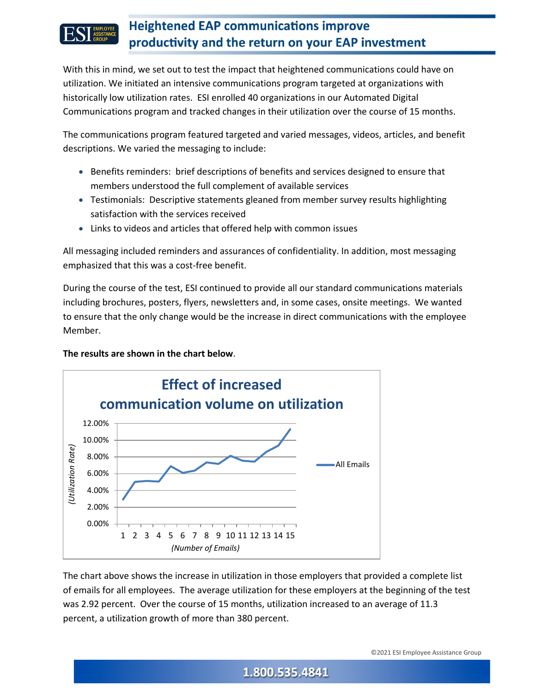

With this in mind, we set out to test the impact that heightened communications could have on utilization. We initiated an intensive communications program targeted at organizations with historically low utilization rates. ESI enrolled 40 organizations in our Automated Digital Communications program and tracked changes in their utilization over the course of 15 months.

The communications program featured targeted and varied messages, videos, articles, and benefit descriptions. We varied the messaging to include:

- Benefits reminders: brief descriptions of benefits and services designed to ensure that members understood the full complement of available services
- Testimonials: Descriptive statements gleaned from member survey results highlighting satisfaction with the services received
- Links to videos and articles that offered help with common issues

All messaging included reminders and assurances of confidentiality. In addition, most messaging emphasized that this was a cost-free benefit.

During the course of the test, ESI continued to provide all our standard communications materials including brochures, posters, flyers, newsletters and, in some cases, onsite meetings. We wanted to ensure that the only change would be the increase in direct communications with the employee Member.

**The results are shown in the chart below**.



The chart above shows the increase in utilization in those employers that provided a complete list of emails for all employees. The average utilization for these employers at the beginning of the test was 2.92 percent. Over the course of 15 months, utilization increased to an average of 11.3 percent, a utilization growth of more than 380 percent.

## 1.800.535.4841